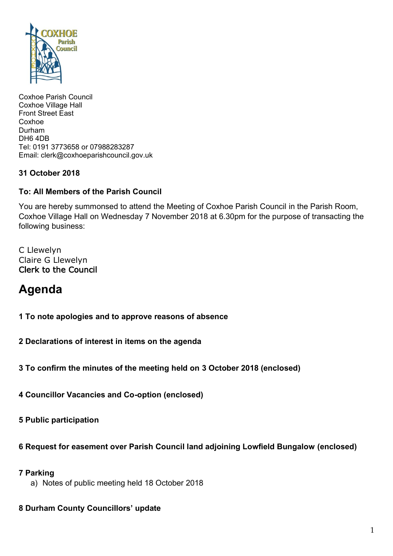

Coxhoe Parish Council Coxhoe Village Hall Front Street East Coxhoe Durham DH6 4DB Tel: 0191 3773658 or 07988283287 Email: clerk@coxhoeparishcouncil.gov.uk

## **31 October 2018**

### **To: All Members of the Parish Council**

You are hereby summonsed to attend the Meeting of Coxhoe Parish Council in the Parish Room, Coxhoe Village Hall on Wednesday 7 November 2018 at 6.30pm for the purpose of transacting the following business:

C Llewelyn Claire G Llewelyn Clerk to the Council

# **Agenda**

**1 To note apologies and to approve reasons of absence**

**2 Declarations of interest in items on the agenda**

**3 To confirm the minutes of the meeting held on 3 October 2018 (enclosed)**

**4 Councillor Vacancies and Co-option (enclosed)**

**5 Public participation**

#### **6 Request for easement over Parish Council land adjoining Lowfield Bungalow (enclosed)**

#### **7 Parking**

a) Notes of public meeting held 18 October 2018

#### **8 Durham County Councillors' update**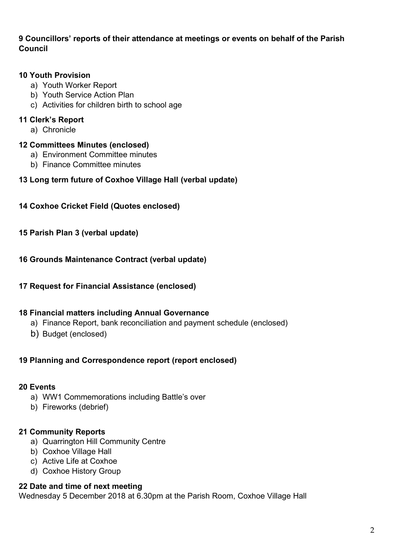### **9 Councillors' reports of their attendance at meetings or events on behalf of the Parish Council**

#### **10 Youth Provision**

- a) Youth Worker Report
- b) Youth Service Action Plan
- c) Activities for children birth to school age

### **11 Clerk's Report**

a) Chronicle

#### **12 Committees Minutes (enclosed)**

- a) Environment Committee minutes
- b) Finance Committee minutes

#### **13 Long term future of Coxhoe Village Hall (verbal update)**

#### **14 Coxhoe Cricket Field (Quotes enclosed)**

#### **15 Parish Plan 3 (verbal update)**

#### **16 Grounds Maintenance Contract (verbal update)**

#### **17 Request for Financial Assistance (enclosed)**

#### **18 Financial matters including Annual Governance**

- a) Finance Report, bank reconciliation and payment schedule (enclosed)
- b) Budget (enclosed)

#### **19 Planning and Correspondence report (report enclosed)**

#### **20 Events**

- a) WW1 Commemorations including Battle's over
- b) Fireworks (debrief)

#### **21 Community Reports**

- a) Quarrington Hill Community Centre
- b) Coxhoe Village Hall
- c) Active Life at Coxhoe
- d) Coxhoe History Group

#### **22 Date and time of next meeting**

Wednesday 5 December 2018 at 6.30pm at the Parish Room, Coxhoe Village Hall